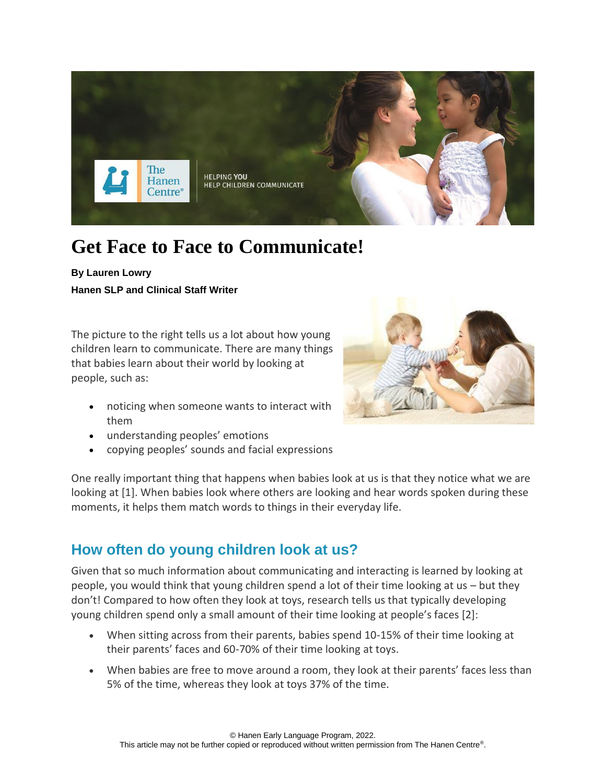

# **Get Face to Face to Communicate!**

**By Lauren Lowry Hanen SLP and Clinical Staff Writer**

The picture to the right tells us a lot about how young children learn to communicate. There are many things that babies learn about their world by looking at people, such as:

- noticing when someone wants to interact with them
- understanding peoples' emotions
- copying peoples' sounds and facial expressions

One really important thing that happens when babies look at us is that they notice what we are looking at [1]. When babies look where others are looking and hear words spoken during these moments, it helps them match words to things in their everyday life.

## **How often do young children look at us?**

Given that so much information about communicating and interacting is learned by looking at people, you would think that young children spend a lot of their time looking at us – but they don't! Compared to how often they look at toys, research tells us that typically developing young children spend only a small amount of their time looking at people's faces [2]:

- When sitting across from their parents, babies spend 10-15% of their time looking at their parents' faces and 60-70% of their time looking at toys.
- When babies are free to move around a room, they look at their parents' faces less than 5% of the time, whereas they look at toys 37% of the time.

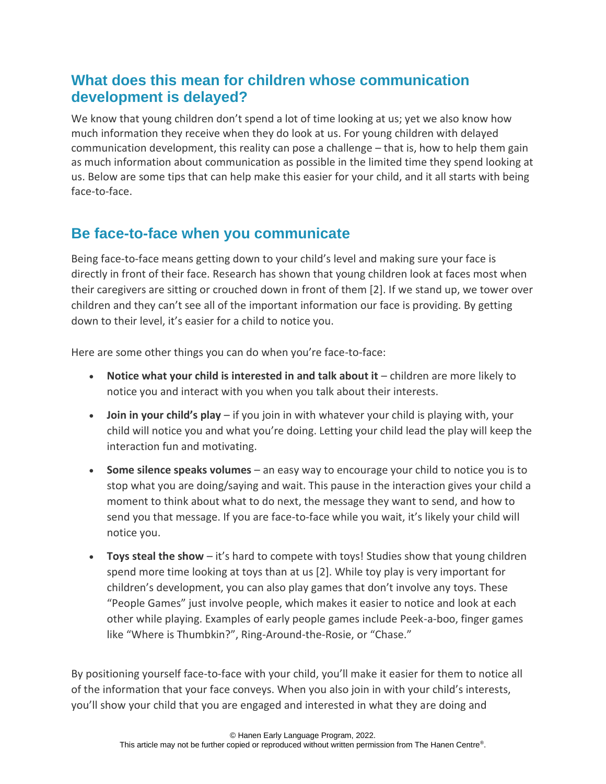#### **What does this mean for children whose communication development is delayed?**

We know that young children don't spend a lot of time looking at us; yet we also know how much information they receive when they do look at us. For young children with delayed communication development, this reality can pose a challenge – that is, how to help them gain as much information about communication as possible in the limited time they spend looking at us. Below are some tips that can help make this easier for your child, and it all starts with being face-to-face.

## **Be face-to-face when you communicate**

Being face-to-face means getting down to your child's level and making sure your face is directly in front of their face. Research has shown that young children look at faces most when their caregivers are sitting or crouched down in front of them [2]. If we stand up, we tower over children and they can't see all of the important information our face is providing. By getting down to their level, it's easier for a child to notice you.

Here are some other things you can do when you're face-to-face:

- **Notice what your child is interested in and talk about it** children are more likely to notice you and interact with you when you talk about their interests.
- **Join in your child's play** if you join in with whatever your child is playing with, your child will notice you and what you're doing. Letting your child lead the play will keep the interaction fun and motivating.
- **Some silence speaks volumes** an easy way to encourage your child to notice you is to stop what you are doing/saying and wait. This pause in the interaction gives your child a moment to think about what to do next, the message they want to send, and how to send you that message. If you are face-to-face while you wait, it's likely your child will notice you.
- **Toys steal the show** it's hard to compete with toys! Studies show that young children spend more time looking at toys than at us [2]. While toy play is very important for children's development, you can also play games that don't involve any toys. These "People Games" just involve people, which makes it easier to notice and look at each other while playing. Examples of early people games include Peek-a-boo, finger games like "Where is Thumbkin?", Ring-Around-the-Rosie, or "Chase."

By positioning yourself face-to-face with your child, you'll make it easier for them to notice all of the information that your face conveys. When you also join in with your child's interests, you'll show your child that you are engaged and interested in what they are doing and